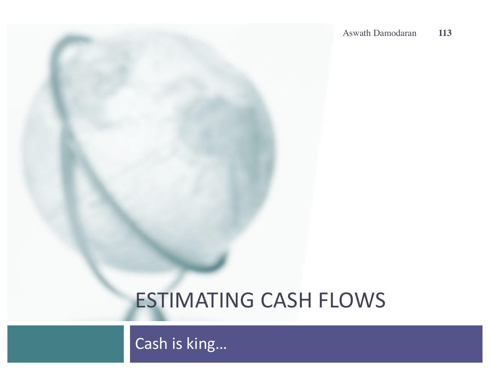#### **ESTIMATING CASH FLOWS**

Cash is king...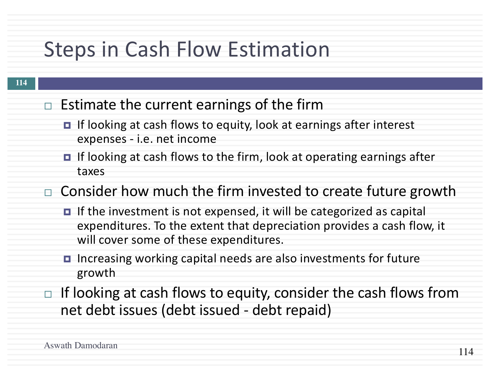### Steps in Cash Flow Estimation

- $\Box$  Estimate the current earnings of the firm
	- $\blacksquare$  If looking at cash flows to equity, look at earnings after interest expenses - i.e. net income
	- **□** If looking at cash flows to the firm, look at operating earnings after taxes

 $\Box$  Consider how much the firm invested to create future growth

- $\blacksquare$  If the investment is not expensed, it will be categorized as capital expenditures. To the extent that depreciation provides a cash flow, it will cover some of these expenditures.
- **□** Increasing working capital needs are also investments for future growth
- $\Box$  If looking at cash flows to equity, consider the cash flows from net debt issues (debt issued - debt repaid)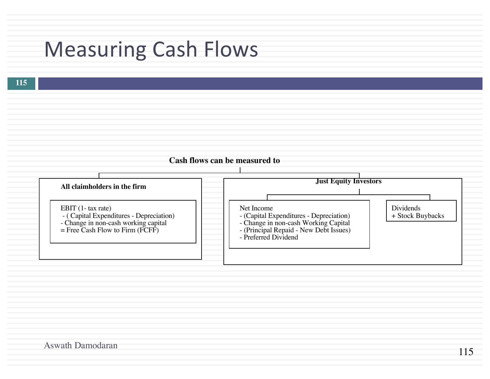#### **Measuring Cash Flows**

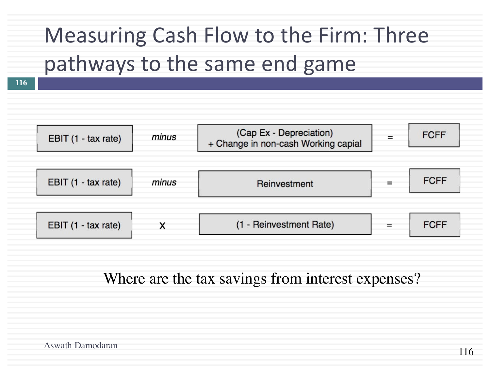# Measuring Cash Flow to the Firm: Three pathways to the same end game

**116**



Where are the tax savings from interest expenses?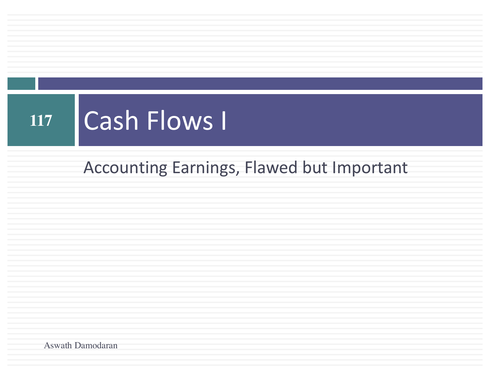# 117 **Cash Flows I**

#### Accounting Earnings, Flawed but Important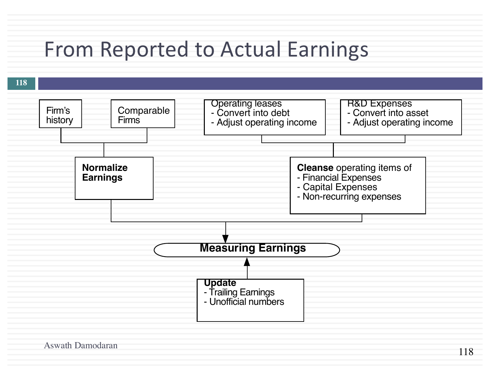#### From Reported to Actual Earnings

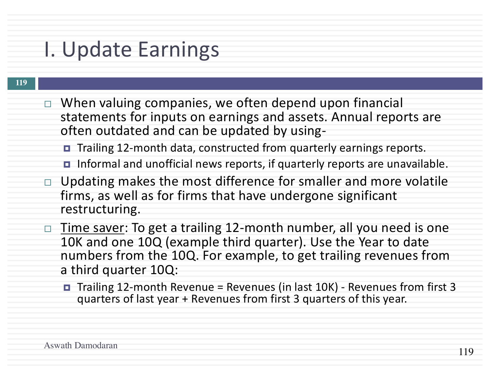#### I. Update Earnings

- $\Box$  When valuing companies, we often depend upon financial statements for inputs on earnings and assets. Annual reports are often outdated and can be updated by using-
	- Trailing 12-month data, constructed from quarterly earnings reports.
	- **□** Informal and unofficial news reports, if quarterly reports are unavailable.
- $\Box$  Updating makes the most difference for smaller and more volatile firms, as well as for firms that have undergone significant restructuring.
- $\Box$  Time saver: To get a trailing 12-month number, all you need is one 10K and one 10Q (example third quarter). Use the Year to date numbers from the 10Q. For example, to get trailing revenues from a third quarter 10Q:
	- $\blacksquare$  Trailing 12-month Revenue = Revenues (in last 10K) Revenues from first 3 quarters of last year + Revenues from first 3 quarters of this year.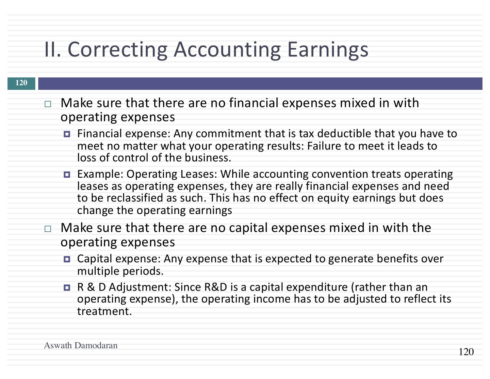### II. Correcting Accounting Earnings

- $\Box$  Make sure that there are no financial expenses mixed in with operating expenses
	- $\blacksquare$  Financial expense: Any commitment that is tax deductible that you have to meet no matter what your operating results: Failure to meet it leads to loss of control of the business.
	- Example: Operating Leases: While accounting convention treats operating leases as operating expenses, they are really financial expenses and need to be reclassified as such. This has no effect on equity earnings but does change the operating earnings
- $\Box$  Make sure that there are no capital expenses mixed in with the operating expenses
	- **□** Capital expense: Any expense that is expected to generate benefits over multiple periods.
	- R & D Adjustment: Since R&D is a capital expenditure (rather than an operating expense), the operating income has to be adjusted to reflect its treatment.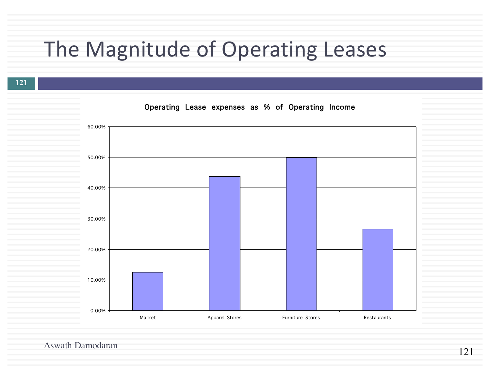# The Magnitude of Operating Leases

**121**

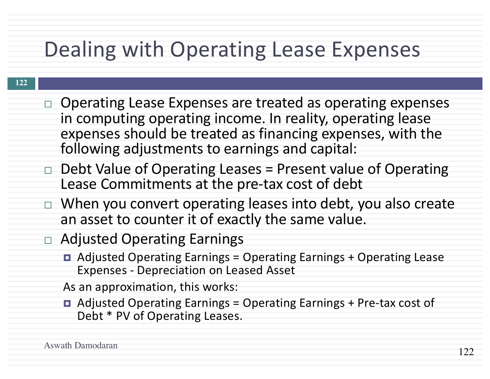### Dealing with Operating Lease Expenses

#### **122**

- $\Box$  Operating Lease Expenses are treated as operating expenses in computing operating income. In reality, operating lease expenses should be treated as financing expenses, with the following adjustments to earnings and capital:
- $\Box$  Debt Value of Operating Leases = Present value of Operating Lease Commitments at the pre-tax cost of debt
- $\Box$  When you convert operating leases into debt, you also create an asset to counter it of exactly the same value.
- □ Adjusted Operating Earnings
	- **□** Adjusted Operating Earnings = Operating Earnings + Operating Lease Expenses - Depreciation on Leased Asset

As an approximation, this works:

 $\blacksquare$  Adjusted Operating Earnings = Operating Earnings + Pre-tax cost of Debt \* PV of Operating Leases.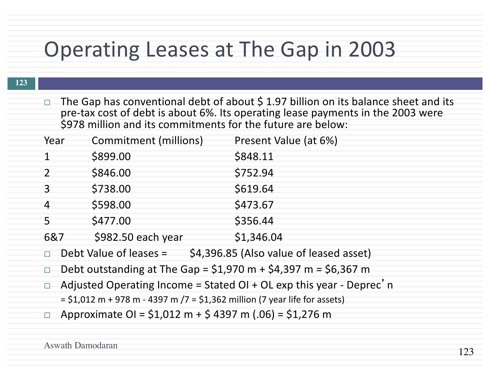#### Operating Leases at The Gap in 2003

The Gap has conventional debt of about  $\frac{1}{2}$  1.97 billion on its balance sheet and its pre-tax cost of debt is about 6%. Its operating lease payments in the 2003 were \$978 million and its commitments for the future are below:

| Year     | <b>Commitment (millions)</b> | Present Value (at 6%) |
|----------|------------------------------|-----------------------|
|          | \$899.00                     | \$848.11              |
|          | \$846.00                     | \$752.94              |
| 3        | \$738.00                     | \$619.64              |
| $\Delta$ | \$598.00                     | \$473.67              |
| 5        | \$477.00                     | \$356.44              |
| 6&7      | \$982.50 each year           | \$1,346.04            |
|          |                              |                       |

- $\Box$  Debt Value of leases =  $\Diamond$ 4,396.85 (Also value of leased asset)
- $\Box$  Debt outstanding at The Gap = \$1,970 m + \$4,397 m = \$6,367 m
- □ Adjusted Operating Income = Stated OI + OL exp this year Deprec'n  $= $1,012 \text{ m} + 978 \text{ m} - 4397 \text{ m} / 7 = $1,362 \text{ million} (7 \text{ year life for assets})$
- $\Box$  Approximate OI = \$1,012 m + \$ 4397 m (.06) = \$1,276 m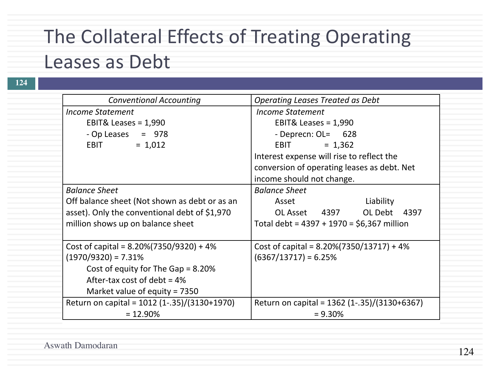#### The Collateral Effects of Treating Operating Leases as Debt

| <b>Conventional Accounting</b>                | <b>Operating Leases Treated as Debt</b><br><b>Income Statement</b>                       |  |
|-----------------------------------------------|------------------------------------------------------------------------------------------|--|
| <b>Income Statement</b>                       |                                                                                          |  |
| EBIT& Leases = $1,990$                        | EBIT& Leases = $1,990$                                                                   |  |
| $-$ Op Leases $=$ 978                         | - Deprecn: $OL = 628$                                                                    |  |
| $= 1,012$<br><b>EBIT</b>                      | <b>EBIT</b><br>$= 1,362$                                                                 |  |
|                                               | Interest expense will rise to reflect the<br>conversion of operating leases as debt. Net |  |
|                                               |                                                                                          |  |
|                                               | income should not change.                                                                |  |
| <b>Balance Sheet</b>                          | <b>Balance Sheet</b>                                                                     |  |
| Off balance sheet (Not shown as debt or as an | Asset<br>Liability                                                                       |  |
| asset). Only the conventional debt of \$1,970 | OL Asset 4397 OL Debt 4397                                                               |  |
| million shows up on balance sheet             | Total debt = $4397 + 1970 = $6,367$ million                                              |  |
| Cost of capital = $8.20\%(7350/9320) + 4\%$   | Cost of capital = $8.20\%(7350/13717) + 4\%$                                             |  |
| $(1970/9320) = 7.31%$                         | $(6367/13717) = 6.25%$                                                                   |  |
| Cost of equity for The Gap = $8.20\%$         |                                                                                          |  |
| After-tax cost of debt = $4\%$                |                                                                                          |  |
| Market value of equity = $7350$               |                                                                                          |  |
| Return on capital = 1012 (1-.35)/(3130+1970)  | Return on capital = 1362 (1-.35)/(3130+6367)                                             |  |
| $= 12.90\%$                                   | $= 9.30\%$                                                                               |  |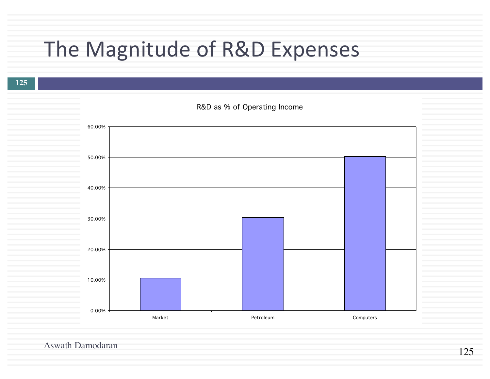# The Magnitude of R&D Expenses

**125**

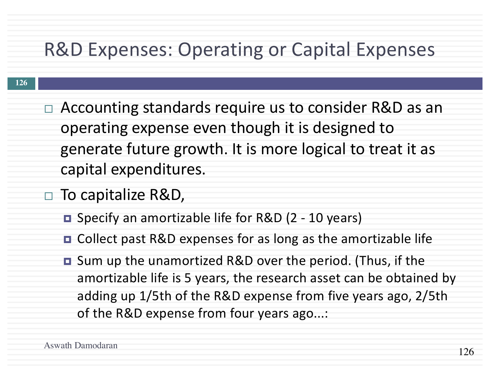#### R&D Expenses: Operating or Capital Expenses

- $\Box$  Accounting standards require us to consider R&D as an operating expense even though it is designed to generate future growth. It is more logical to treat it as capital expenditures.
- □ To capitalize R&D,
	- Specify an amortizable life for R&D (2 10 years)
	- **□** Collect past R&D expenses for as long as the amortizable life
	- **□** Sum up the unamortized R&D over the period. (Thus, if the amortizable life is 5 years, the research asset can be obtained by adding up 1/5th of the R&D expense from five years ago, 2/5th of the R&D expense from four years ago...: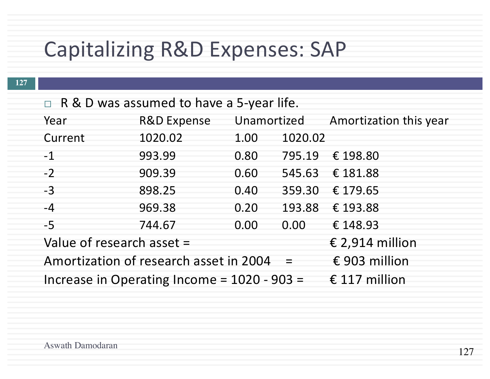## Capitalizing R&D Expenses: SAP

| $\Box$ R & D was assumed to have a 5-year life. |                                                |      |          |                 |  |
|-------------------------------------------------|------------------------------------------------|------|----------|-----------------|--|
| Year                                            | R&D Expense Unamortized Amortization this year |      |          |                 |  |
| Current                                         | 1020.02                                        | 1.00 | 1020.02  |                 |  |
| $-1$                                            | 993.99                                         | 0.80 | 795.19   | € 198.80        |  |
| $-2$                                            | 909.39                                         | 0.60 | 545.63   | € 181.88        |  |
| $-3$                                            | 898.25                                         | 0.40 | 359.30   | € 179.65        |  |
| $-4$                                            | 969.38                                         | 0.20 | 193.88   | € 193.88        |  |
| $-5$                                            | 744.67                                         | 0.00 | 0.00     | € 148.93        |  |
| Value of research asset =                       |                                                |      |          | € 2,914 million |  |
|                                                 | Amortization of research asset in 2004         |      | $\equiv$ | € 903 million   |  |
|                                                 | Increase in Operating Income = $1020 - 903 =$  |      |          | € 117 million   |  |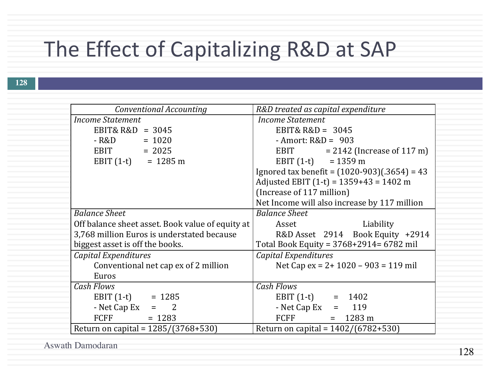### The Effect of Capitalizing R&D at SAP

| Conventional Accounting                          | R&D treated as capital expenditure             |  |
|--------------------------------------------------|------------------------------------------------|--|
| <b>Income Statement</b>                          | <b>Income Statement</b>                        |  |
| EBIT& $R&D = 3045$                               | EBIT& $R&D = 3045$                             |  |
| $-R&D = 1020$                                    | - Amort: $R&D = 903$                           |  |
| $EBIT = 2025$                                    | EBIT $= 2142$ (Increase of 117 m)              |  |
| EBIT $(1-t) = 1285 \text{ m}$                    | EBIT $(1-t) = 1359 \text{ m}$                  |  |
|                                                  | Ignored tax benefit = $(1020-903)(.3654) = 43$ |  |
|                                                  | Adjusted EBIT $(1-t) = 1359+43 = 1402$ m       |  |
|                                                  | (Increase of 117 million)                      |  |
|                                                  | Net Income will also increase by 117 million   |  |
| <b>Balance Sheet</b>                             | <b>Balance Sheet</b>                           |  |
| Off balance sheet asset. Book value of equity at | Liability<br>Asset                             |  |
| 3,768 million Euros is understated because       | R&D Asset 2914 Book Equity +2914               |  |
| biggest asset is off the books.                  | Total Book Equity = 3768+2914= 6782 mil        |  |
| Capital Expenditures                             | Capital Expenditures                           |  |
| Conventional net cap ex of 2 million             | Net Cap ex = $2+1020-903 = 119$ mil            |  |
| Euros                                            |                                                |  |
| <b>Cash Flows</b>                                | <b>Cash Flows</b>                              |  |
| EBIT $(1-t) = 1285$                              | EBIT $(1-t) = 1402$                            |  |
| - Net Cap Ex $=$ 2                               | - Net Cap Ex $= 119$                           |  |
| <b>FCFF</b><br>$= 1283$                          | FCFF<br>$= 1283 \text{ m}$                     |  |
| Return on capital = $1285/(3768+530)$            | Return on capital = $1402/(6782+530)$          |  |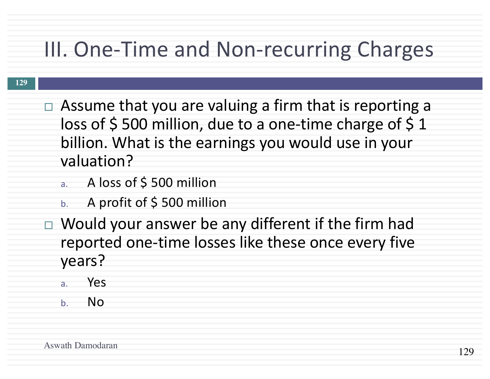### III. One-Time and Non-recurring Charges

- $\Box$  Assume that you are valuing a firm that is reporting a loss of  $\frac{1}{5}$  500 million, due to a one-time charge of  $\frac{1}{5}$  1 billion. What is the earnings you would use in your valuation?
	- a. A loss of \$500 million
	- b. A profit of  $\frac{1}{2}$  500 million
- $\Box$  Would your answer be any different if the firm had reported one-time losses like these once every five years?
	- a. Yes
	- b. No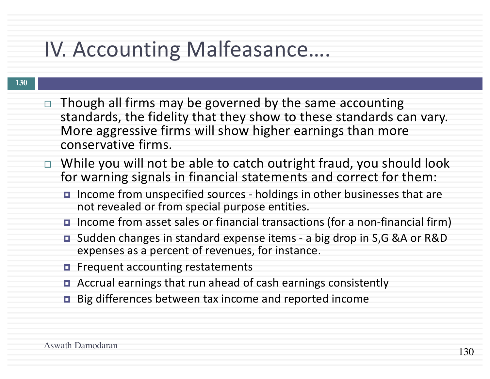### IV. Accounting Malfeasance....

- $\Box$  Though all firms may be governed by the same accounting standards, the fidelity that they show to these standards can vary. More aggressive firms will show higher earnings than more conservative firms.
- $\Box$  While you will not be able to catch outright fraud, you should look for warning signals in financial statements and correct for them:
	- Income from unspecified sources holdings in other businesses that are not revealed or from special purpose entities.
	- **□** Income from asset sales or financial transactions (for a non-financial firm)
	- Sudden changes in standard expense items a big drop in S,G &A or R&D expenses as a percent of revenues, for instance.
	- $\blacksquare$  Frequent accounting restatements
	- Accrual earnings that run ahead of cash earnings consistently
	- Big differences between tax income and reported income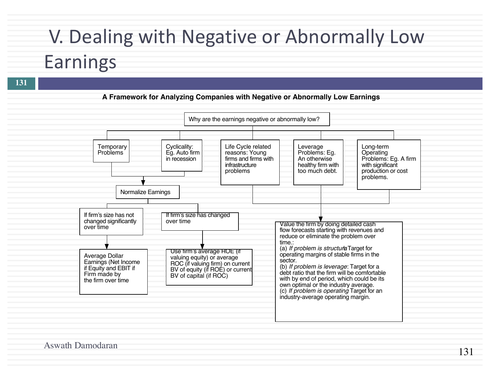#### V. Dealing with Negative or Abnormally Low

#### Earnings

**131**

#### **A Framework for Analyzing Companies with Negative or Abnormally Low Earnings**

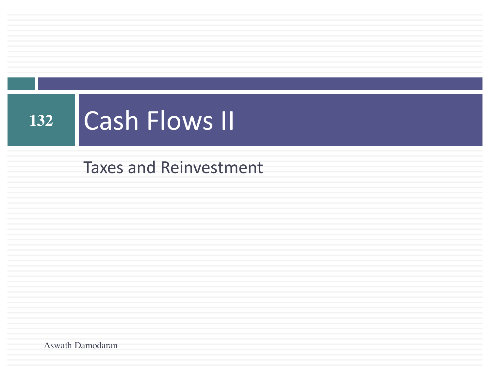# 132 **Cash Flows II**

**Taxes and Reinvestment**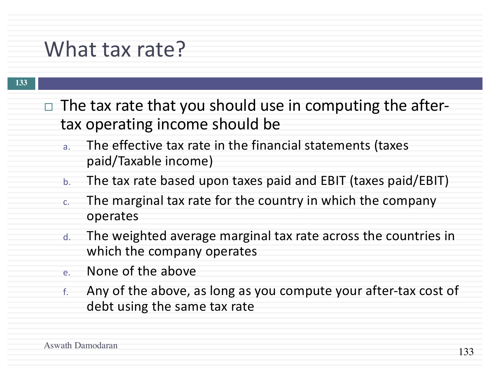#### What tax rate?

- $\Box$  The tax rate that you should use in computing the aftertax operating income should be
	- a. The effective tax rate in the financial statements (taxes paid/Taxable income)
	- b. The tax rate based upon taxes paid and EBIT (taxes paid/EBIT)
	- c. The marginal tax rate for the country in which the company operates
	- d. The weighted average marginal tax rate across the countries in which the company operates
	- e. None of the above
	- $f$ . Any of the above, as long as you compute your after-tax cost of debt using the same tax rate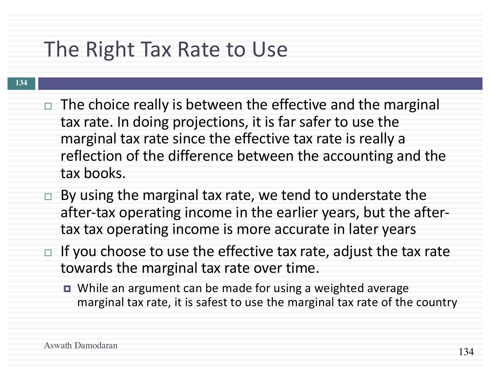#### The Right Tax Rate to Use

- $\Box$  The choice really is between the effective and the marginal tax rate. In doing projections, it is far safer to use the marginal tax rate since the effective tax rate is really a reflection of the difference between the accounting and the tax books.
- $\Box$  By using the marginal tax rate, we tend to understate the after-tax operating income in the earlier years, but the aftertax tax operating income is more accurate in later years
- $\Box$  If you choose to use the effective tax rate, adjust the tax rate towards the marginal tax rate over time.
	- While an argument can be made for using a weighted average marginal tax rate, it is safest to use the marginal tax rate of the country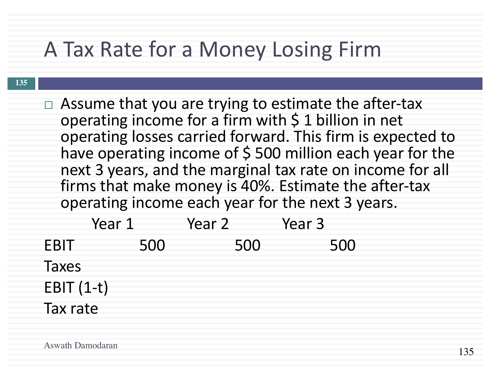#### A Tax Rate for a Money Losing Firm

#### $\Box$  Assume that you are trying to estimate the after-tax operating income for a firm with  $\zeta$  1 billion in net operating losses carried forward. This firm is expected to have operating income of  $\frac{1}{2}$  500 million each year for the next 3 years, and the marginal tax rate on income for all firms that make money is 40%. Estimate the after-tax operating income each year for the next 3 years. Year 1 Year 2 Year 3 EBIT 500 500 500 Taxes  $EBIT(1-t)$

Tax rate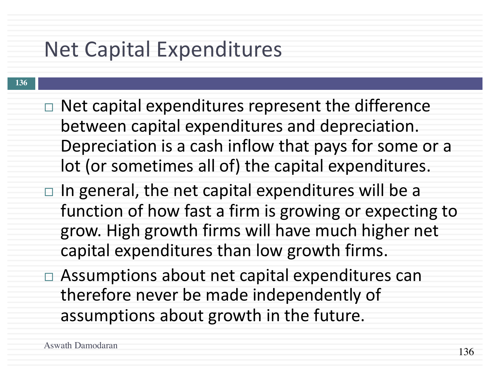### **Net Capital Expenditures**

- **136**
- $\Box$  Net capital expenditures represent the difference between capital expenditures and depreciation. Depreciation is a cash inflow that pays for some or a lot (or sometimes all of) the capital expenditures.
- $\Box$  In general, the net capital expenditures will be a function of how fast a firm is growing or expecting to grow. High growth firms will have much higher net capital expenditures than low growth firms.
- $\Box$  Assumptions about net capital expenditures can therefore never be made independently of assumptions about growth in the future.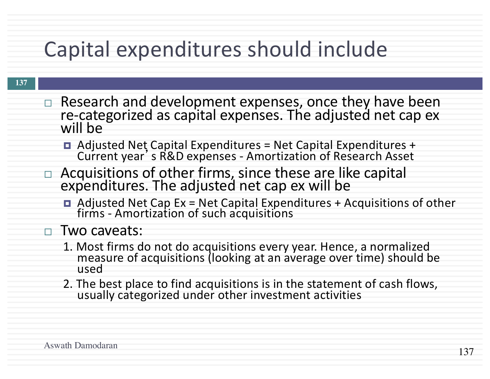## Capital expenditures should include

- $\Box$  Research and development expenses, once they have been re-categorized as capital expenses. The adjusted net cap ex will be
	- $\blacksquare$  Adjusted Net Capital Expenditures = Net Capital Expenditures + Current year's R&D expenses - Amortization of Research Asset
- □ Acquisitions of other firms, since these are like capital expenditures. The adjusted net cap ex will be
	- $\blacksquare$  Adjusted Net Cap Ex = Net Capital Expenditures + Acquisitions of other firms - Amortization of such acquisitions

#### □ Two caveats:

- 1. Most firms do not do acquisitions every year. Hence, a normalized<br>measure of acquisitions (looking at an average over time) should be used
- 2. The best place to find acquisitions is in the statement of cash flows, usually categorized under other investment activities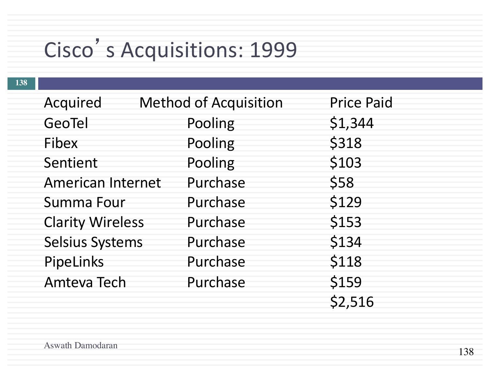# Cisco's Acquisitions: 1999

| Acquired                 | <b>Method of Acquisition</b> | <b>Price Paid</b> |
|--------------------------|------------------------------|-------------------|
| GeoTel                   | Pooling                      | \$1,344           |
| Fibex                    | Pooling                      | \$318             |
| Sentient                 | Pooling                      | \$103             |
| <b>American Internet</b> | Purchase                     | \$58              |
| <b>Summa Four</b>        | Purchase                     | \$129             |
| <b>Clarity Wireless</b>  | Purchase                     | \$153             |
| <b>Selsius Systems</b>   | Purchase                     | \$134             |
| PipeLinks                | Purchase                     | \$118             |
| <b>Amteva Tech</b>       | Purchase                     | \$159             |
|                          |                              | \$2,516           |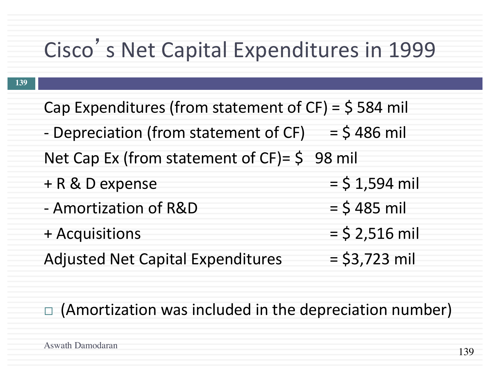# Cisco's Net Capital Expenditures in 1999

| Cap Expenditures (from statement of $CF$ ) = $$584$ mil |                  |  |  |
|---------------------------------------------------------|------------------|--|--|
| - Depreciation (from statement of CF) = $$486$ mil      |                  |  |  |
| Net Cap Ex (from statement of $CF$ ) = $\zeta$ 98 mil   |                  |  |  |
| + R & D expense                                         | $=$ \$ 1,594 mil |  |  |
| - Amortization of R&D                                   | $=$ \$485 mil    |  |  |
| + Acquisitions                                          | $=$ \$ 2,516 mil |  |  |
| <b>Adjusted Net Capital Expenditures</b>                | $=$ \$3,723 mil  |  |  |

 $\Box$  (Amortization was included in the depreciation number)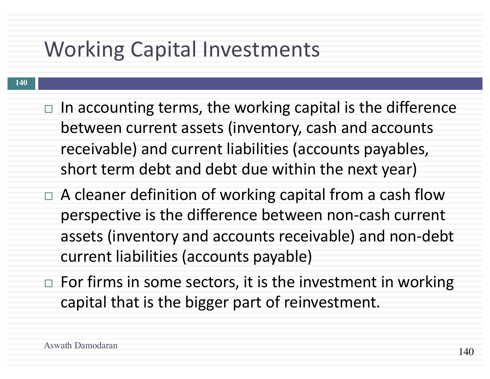#### Working Capital Investments

- **140**
- $\Box$  In accounting terms, the working capital is the difference between current assets (inventory, cash and accounts receivable) and current liabilities (accounts payables, short term debt and debt due within the next year)
- $\Box$  A cleaner definition of working capital from a cash flow perspective is the difference between non-cash current assets (inventory and accounts receivable) and non-debt current liabilities (accounts payable)
- $\Box$  For firms in some sectors, it is the investment in working capital that is the bigger part of reinvestment.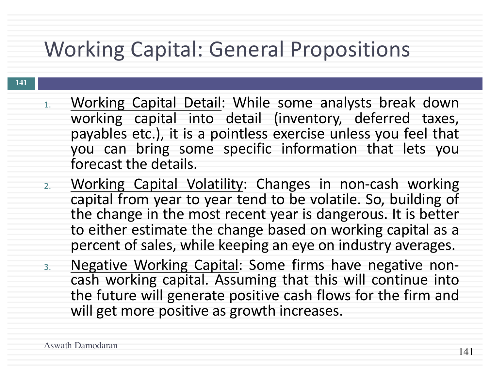### Working Capital: General Propositions

- 1. Working Capital Detail: While some analysts break down working capital into detail (inventory, deferred taxes, payables etc.), it is a pointless exercise unless you feel that you can bring some specific information that lets you forecast the details.
- 2. Working Capital Volatility: Changes in non-cash working capital from year to year tend to be volatile. So, building of the change in the most recent year is dangerous. It is better to either estimate the change based on working capital as a percent of sales, while keeping an eye on industry averages.
- 3. Negative Working Capital: Some firms have negative non-<br>cash working capital. Assuming that this will continue into the future will generate positive cash flows for the firm and will get more positive as growth increases.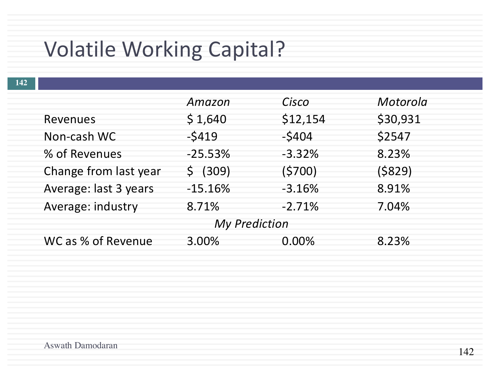### Volatile Working Capital?

| 142                  |                       |           |          |          |
|----------------------|-----------------------|-----------|----------|----------|
|                      |                       | Amazon    | Cisco    | Motorola |
|                      | Revenues              | \$1,640   | \$12,154 | \$30,931 |
|                      | Non-cash WC           | $-5419$   | $-5404$  | \$2547   |
|                      | % of Revenues         | $-25.53%$ | $-3.32%$ | 8.23%    |
|                      | Change from last year | \$ (309)  | (5700)   | (\$829)  |
|                      | Average: last 3 years | $-15.16%$ | $-3.16%$ | 8.91%    |
|                      | Average: industry     | 8.71%     | $-2.71%$ | 7.04%    |
| <b>My Prediction</b> |                       |           |          |          |
|                      | WC as % of Revenue    | 3.00%     | $0.00\%$ | 8.23%    |
|                      |                       |           |          |          |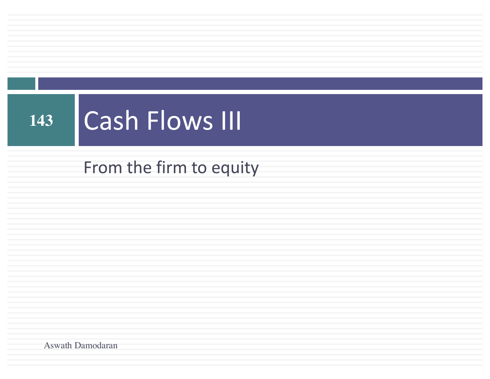# 143 | Cash Flows III

From the firm to equity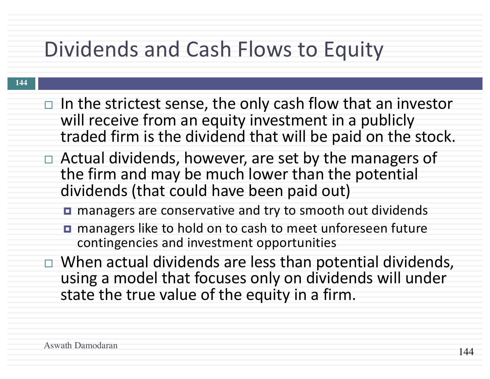### Dividends and Cash Flows to Equity

- $\Box$  In the strictest sense, the only cash flow that an investor will receive from an equity investment in a publicly traded firm is the dividend that will be paid on the stock.
- $\Box$  Actual dividends, however, are set by the managers of the firm and may be much lower than the potential dividends (that could have been paid out)
	- managers are conservative and try to smooth out dividends
	- managers like to hold on to cash to meet unforeseen future contingencies and investment opportunities
- $\Box$  When actual dividends are less than potential dividends, using a model that focuses only on dividends will under state the true value of the equity in a firm.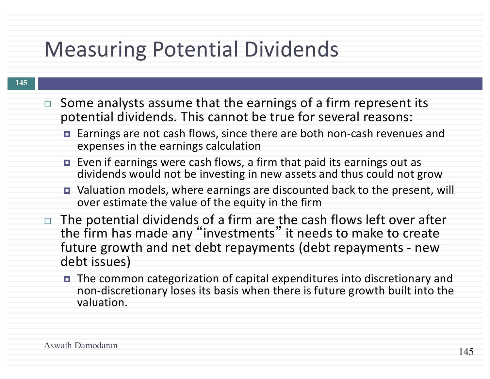### Measuring Potential Dividends

- $\Box$  Some analysts assume that the earnings of a firm represent its potential dividends. This cannot be true for several reasons:
	- Earnings are not cash flows, since there are both non-cash revenues and expenses in the earnings calculation
	- Even if earnings were cash flows, a firm that paid its earnings out as dividends would not be investing in new assets and thus could not grow
	- Valuation models, where earnings are discounted back to the present, will over estimate the value of the equity in the firm
- $\Box$  The potential dividends of a firm are the cash flows left over after the firm has made any "investments" it needs to make to create future growth and net debt repayments (debt repayments - new debt issues)
	- The common categorization of capital expenditures into discretionary and non-discretionary loses its basis when there is future growth built into the valuation.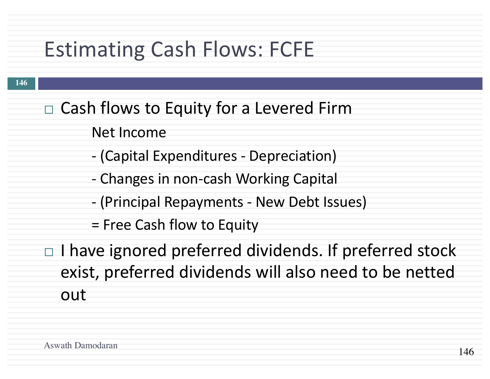### Estimating Cash Flows: FCFE

- $\Box$  Cash flows to Equity for a Levered Firm
	- **Net Income**
	- (Capital Expenditures Depreciation)
	- Changes in non-cash Working Capital
	- (Principal Repayments New Debt Issues)
	- = Free Cash flow to Equity
- $\Box$  I have ignored preferred dividends. If preferred stock exist, preferred dividends will also need to be netted out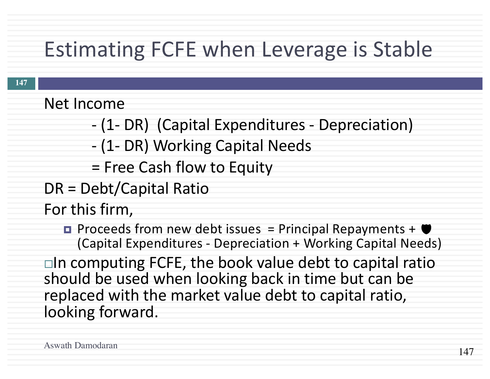### Estimating FCFE when Leverage is Stable

**Net Income** 

- (1- DR) (Capital Expenditures - Depreciation)

- (1- DR) Working Capital Needs

= Free Cash flow to Equity

DR = Debt/Capital Ratio

For this firm,

 $\blacksquare$  Proceeds from new debt issues  $=$  Principal Repayments  $+$   $\blacksquare$ (Capital Expenditures - Depreciation + Working Capital Needs)

 $\Box$ In computing FCFE, the book value debt to capital ratio should be used when looking back in time but can be replaced with the market value debt to capital ratio, looking forward.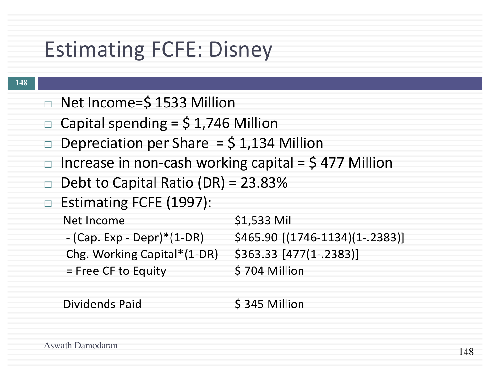### Estimating FCFE: Disney

#### **148**

- □ Net Income=\$ 1533 Million
- $\Box$  Capital spending = \$1,746 Million
- $\Box$  Depreciation per Share = \$1,134 Million
- $\Box$  Increase in non-cash working capital = \$477 Million
- $\Box$  Debt to Capital Ratio (DR) = 23.83%
- $\Box$  Estimating FCFE (1997):
	- Net Income \$1,533 Mil  $-$  (Cap. Exp - Depr)\*(1-DR)  $\qquad$  \$465.90 [(1746-1134)(1-.2383)] Chg. Working Capital\*(1-DR) \$363.33 [477(1-.2383)]
		- = Free CF to Equity \$704 Million
- 

Dividends Paid 5345 Million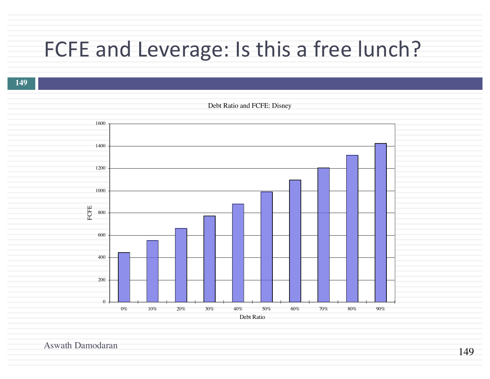#### FCFE and Leverage: Is this a free lunch?

**149**

Debt Ratio and FCFE: Disney  $\overline{0}$ 200 400 600 800 1000 1200 1400 1600  $0\%$  10% 20% 30% 40% 50% 60% 70% 80% 90% Debt Ratio FCFE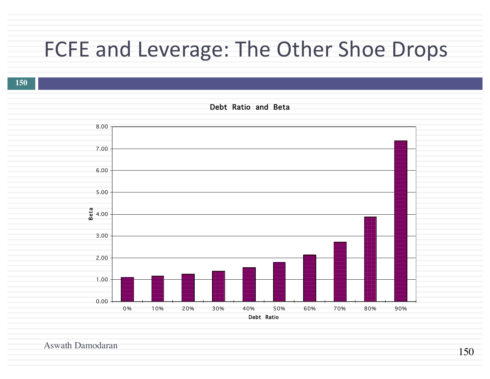#### FCFE and Leverage: The Other Shoe Drops

**150**